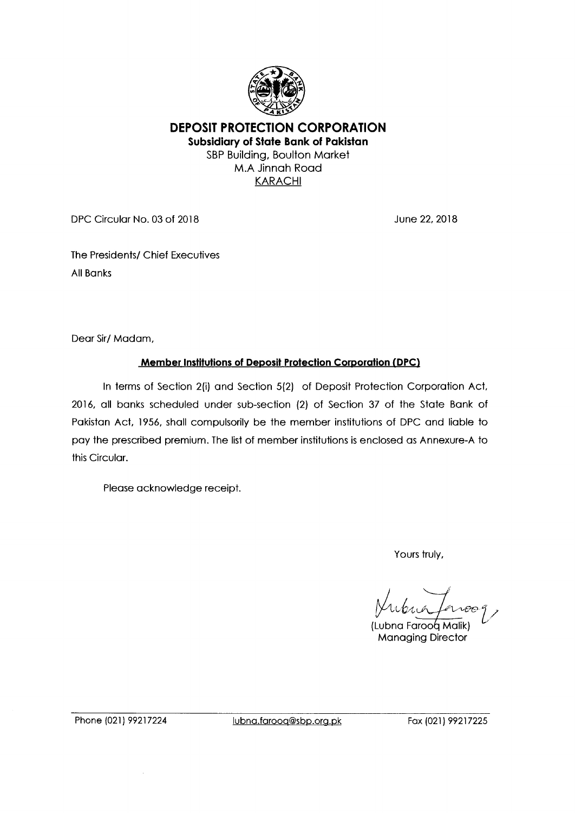

**DEPOSIT PROTECTION CORPORATION Subsidiary of State Bank of Pakistan**  SBP Building, Boulton Market M.A Jinnah Road KARACHI

DPC Circular No. 03 of 2018 June 22, 2018

The Presidents/ Chief Executives All Banks

Dear Sir/ Madam,

# **Member Institutions of Deposit Protection Corporation (DPC)**

In terms of Section 2(i) and Section 5(2) of Deposit Protection Corporation Act, 2016, all banks scheduled under sub-section (2) of Section 37 of the State Bank of Pakistan Act, 1956, shall compulsorily be the member institutions of DPC and liable to pay the prescribed premium. The list of member institutions is enclosed as Annexure-A to this Circular.

Please acknowledge receipt.

Yours truly,

Jubua faroog

(Lubna Faroog Malik) Managing Director

Phone (021) 99217224 Iubna.farooq@sbp.org.pk Fox (021) 99217225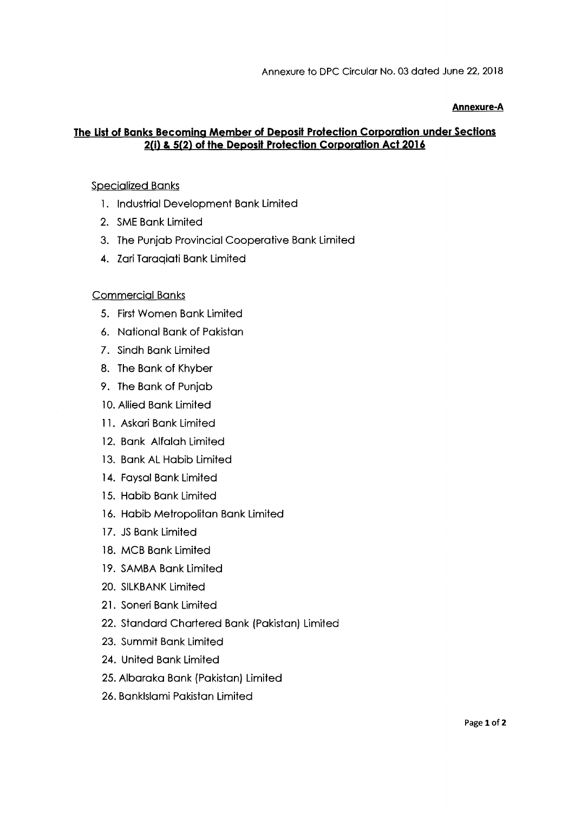#### **Annexure-A**

## **The List of Banks Becoming Member of Deposit Protection Corporation under Sections 2(i) & 5(2) of the Deposit Protection Corporation Act 2016**

### Specialized Banks

- 1. Industrial Development Bank Limited
- 2. SME Bank Limited
- 3. The Punjab Provincial Cooperative Bank Limited
- 4. Zari Taraqiati Bank Limited

### Commercial Banks

- 5. First Women Bank Limited
- 6. National Bank of Pakistan
- 7. Sindh Bank Limited
- 8. The Bank of Khyber
- 9. The Bank of Punjab
- 10. Allied Bank Limited
- 11. Askari Bank Limited
- 12. Bank Alfalah Limited
- 13. Bank AL Habib Limited
- 14. Faysal Bank Limited
- 15. Habib Bank Limited
- 16. Habib Metropolitan Bank Limited
- 17. JS Bank Limited
- 18. MCB Bank Limited
- 19. SAMBA Bank Limited
- 20. SILKBANK Limited
- 21. Soneri Bank Limited
- 22. Standard Chartered Bank (Pakistan) Limited
- 23. Summit Bank Limited
- 24. United Bank Limited
- 25. Albaraka Bank (Pakistan) Limited
- 26. Banklslami Pakistan Limited